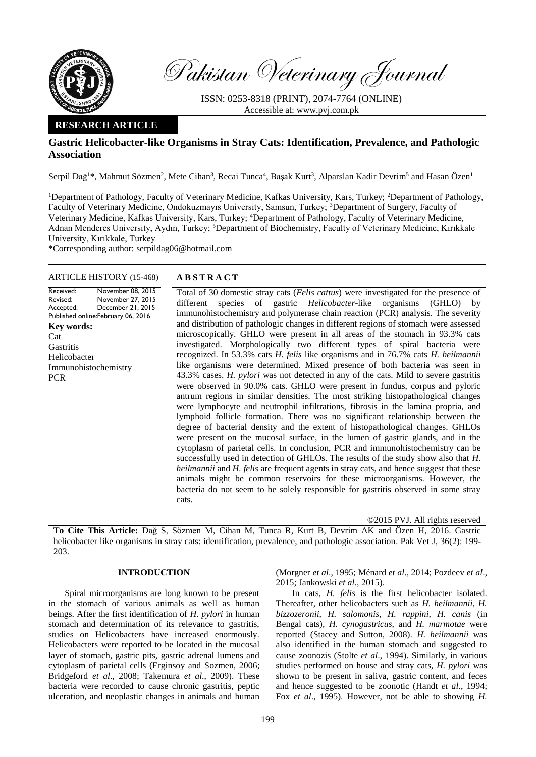

Pakistan Veterinary Journal

ISSN: 0253-8318 (PRINT), 2074-7764 (ONLINE) Accessible at: [www.pvj.com.pk](http://www.pvj.com.pk/)

# **RESEARCH ARTICLE**

# **Gastric Helicobacter-like Organisms in Stray Cats: Identification, Prevalence, and Pathologic Association**

Serpil Dağ<sup>1</sup>\*, Mahmut Sözmen<sup>2</sup>, Mete Cihan<sup>3</sup>, Recai Tunca<sup>4</sup>, Başak Kurt<sup>3</sup>, Alparslan Kadir Devrim<sup>5</sup> and Hasan Özen<sup>1</sup>

<sup>1</sup>Department of Pathology, Faculty of Veterinary Medicine, Kafkas University, Kars, Turkey; <sup>2</sup>Department of Pathology, Faculty of Veterinary Medicine, Ondokuzmayıs University, Samsun, Turkey; <sup>3</sup>Department of Surgery, Faculty of Veterinary Medicine, Kafkas University, Kars, Turkey; <sup>4</sup>Department of Pathology, Faculty of Veterinary Medicine, Adnan Menderes University, Aydın, Turkey; <sup>5</sup>Department of Biochemistry, Faculty of Veterinary Medicine, Kırıkkale University, Kırıkkale, Turkey

\*Corresponding author: serpildag06@hotmail.com

# ARTICLE HISTORY (15-468) **A B S T R A C T**

Received: Revised: Accepted: Published online: February 06, 2016 November 08, 2015 November 27, 2015 December 21, 2015 **Key words:**  Cat **Gastritis** Helicobacter Immunohistochemistry **PCR** 

Total of 30 domestic stray cats (*Felis cattus*) were investigated for the presence of different species of gastric *Helicobacter*-like organisms (GHLO) by immunohistochemistry and polymerase chain reaction (PCR) analysis. The severity and distribution of pathologic changes in different regions of stomach were assessed microscopically. GHLO were present in all areas of the stomach in 93.3% cats investigated. Morphologically two different types of spiral bacteria were recognized. In 53.3% cats *H. felis* like organisms and in 76.7% cats *H. heilmannii* like organisms were determined. Mixed presence of both bacteria was seen in 43.3% cases. *H. pylori* was not detected in any of the cats. Mild to severe gastritis were observed in 90.0% cats. GHLO were present in fundus, corpus and pyloric antrum regions in similar densities. The most striking histopathological changes were lymphocyte and neutrophil infiltrations, fibrosis in the lamina propria, and lymphoid follicle formation. There was no significant relationship between the degree of bacterial density and the extent of histopathological changes. GHLOs were present on the mucosal surface, in the lumen of gastric glands, and in the cytoplasm of parietal cells. In conclusion, PCR and immunohistochemistry can be successfully used in detection of GHLOs. The results of the study show also that *H. heilmannii* and *H. felis* are frequent agents in stray cats, and hence suggest that these animals might be common reservoirs for these microorganisms. However, the bacteria do not seem to be solely responsible for gastritis observed in some stray cats.

©2015 PVJ. All rights reserved

**To Cite This Article:** Dağ S, Sözmen M, Cihan M, Tunca R, Kurt B, Devrim AK and Özen H, 2016. Gastric helicobacter like organisms in stray cats: identification, prevalence, and pathologic association. Pak Vet J, 36(2): 199- 203.

#### **INTRODUCTION**

Spiral microorganisms are long known to be present in the stomach of various animals as well as human beings. After the first identification of *H. pylori* in human stomach and determination of its relevance to gastritis, studies on Helicobacters have increased enormously. Helicobacters were reported to be located in the mucosal layer of stomach, gastric pits, gastric adrenal lumens and cytoplasm of parietal cells (Erginsoy and Sozmen, 2006; Bridgeford *et al*., 2008; Takemura *et al*., 2009). These bacteria were recorded to cause chronic gastritis, peptic ulceration, and neoplastic changes in animals and human

(Morgner *et al*., 1995; Ménard *et al*., 2014; Pozdeev *et al*., 2015; Jankowski *et al*., 2015).

In cats, *H. felis* is the first helicobacter isolated. Thereafter, other helicobacters such as *H. heilmannii, H. bizzozeronii, H. salomonis, H. rappini, H. canis* (in Bengal cats)*, H. cynogastricus,* and *H. marmotae* were reported (Stacey and Sutton, 2008). *H. heilmannii* was also identified in the human stomach and suggested to cause zoonozis (Stolte *et al*., 1994). Similarly, in various studies performed on house and stray cats, *H. pylori* was shown to be present in saliva, gastric content, and feces and hence suggested to be zoonotic (Handt *et al*., 1994; Fox *et al*., 1995). However, not be able to showing *H.*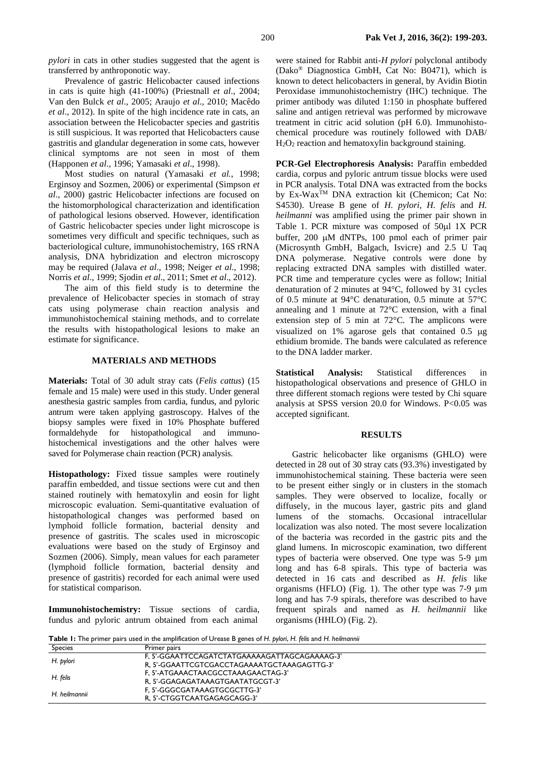*pylori* in cats in other studies suggested that the agent is transferred by anthroponotic way.

Prevalence of gastric Helicobacter caused infections in cats is quite high (41-100%) (Priestnall *et al*., 2004; Van den Bulck *et al*., 2005; Araujo *et al*., 2010; Macêdo *et al*., 2012). In spite of the high incidence rate in cats, an association between the Helicobacter species and gastritis is still suspicious. It was reported that Helicobacters cause gastritis and glandular degeneration in some cats, however clinical symptoms are not seen in most of them (Happonen *et al*., 1996; Yamasaki *et al*., 1998).

Most studies on natural (Yamasaki *et al.*, 1998; Erginsoy and Sozmen, 2006) or experimental (Simpson *et al*., 2000) gastric Helicobacter infections are focused on the histomorphological characterization and identification of pathological lesions observed. However, identification of Gastric helicobacter species under light microscope is sometimes very difficult and specific techniques, such as bacteriological culture, immunohistochemistry, 16S rRNA analysis, DNA hybridization and electron microscopy may be required (Jalava *et al*., 1998; Neiger *et al*., 1998; Norris *et al*., 1999; Sjodin *et al*., 2011; Smet *et al*., 2012).

The aim of this field study is to determine the prevalence of Helicobacter species in stomach of stray cats using polymerase chain reaction analysis and immunohistochemical staining methods, and to correlate the results with histopathological lesions to make an estimate for significance.

# **MATERIALS AND METHODS**

**Materials:** Total of 30 adult stray cats (*Felis cattus*) (15 female and 15 male) were used in this study. Under general anesthesia gastric samples from cardia, fundus, and pyloric antrum were taken applying gastroscopy. Halves of the biopsy samples were fixed in 10% Phosphate buffered formaldehyde for histopathological and immunohistochemical investigations and the other halves were saved for Polymerase chain reaction (PCR) analysis.

**Histopathology:** Fixed tissue samples were routinely paraffin embedded, and tissue sections were cut and then stained routinely with hematoxylin and eosin for light microscopic evaluation. Semi-quantitative evaluation of histopathological changes was performed based on lymphoid follicle formation, bacterial density and presence of gastritis. The scales used in microscopic evaluations were based on the study of Erginsoy and Sozmen (2006). Simply, mean values for each parameter (lymphoid follicle formation, bacterial density and presence of gastritis) recorded for each animal were used for statistical comparison.

**Immunohistochemistry:** Tissue sections of cardia, fundus and pyloric antrum obtained from each animal

were stained for Rabbit anti-*H pylori* polyclonal antibody (Dako® Diagnostica GmbH, Cat No: B0471), which is known to detect helicobacters in general, by Avidin Biotin Peroxidase immunohistochemistry (IHC) technique. The primer antibody was diluted 1:150 in phosphate buffered saline and antigen retrieval was performed by microwave treatment in citric acid solution (pH 6.0). Immunohistochemical procedure was routinely followed with DAB/ H2O<sup>2</sup> reaction and hematoxylin background staining.

**PCR-Gel Electrophoresis Analysis:** Paraffin embedded cardia, corpus and pyloric antrum tissue blocks were used in PCR analysis. Total DNA was extracted from the bocks by Ex-Wax<sup>TM</sup> DNA extraction kit (Chemicon; Cat No: S4530). Urease B gene of *H. pylori, H. felis* and *H. heilmanni* was amplified using the primer pair shown in Table 1. PCR mixture was composed of 50ul 1X PCR buffer,  $200 \mu M$  dNTPs,  $100 \text{ pmol}$  each of primer pair (Microsynth GmbH, Balgach, Isvicre) and 2.5 U Taq DNA polymerase. Negative controls were done by replacing extracted DNA samples with distilled water. PCR time and temperature cycles were as follow; Initial denaturation of 2 minutes at 94°C, followed by 31 cycles of 0.5 minute at 94°C denaturation, 0.5 minute at 57°C annealing and 1 minute at 72°C extension, with a final extension step of 5 min at 72°C. The amplicons were visualized on  $1\%$  agarose gels that contained  $0.5 \mu$ g ethidium bromide. The bands were calculated as reference to the DNA ladder marker.

**Statistical Analysis:** Statistical differences in histopathological observations and presence of GHLO in three different stomach regions were tested by Chi square analysis at SPSS version 20.0 for Windows. P<0.05 was accepted significant.

#### **RESULTS**

Gastric helicobacter like organisms (GHLO) were detected in 28 out of 30 stray cats (93.3%) investigated by immunohistochemical staining. These bacteria were seen to be present either singly or in clusters in the stomach samples. They were observed to localize, focally or diffusely, in the mucous layer, gastric pits and gland lumens of the stomachs. Occasional intracellular localization was also noted. The most severe localization of the bacteria was recorded in the gastric pits and the gland lumens. In microscopic examination, two different types of bacteria were observed. One type was 5-9 µm long and has 6-8 spirals. This type of bacteria was detected in 16 cats and described as *H. felis* like organisms (HFLO) (Fig. 1). The other type was 7-9 µm long and has 7-9 spirals, therefore was described to have frequent spirals and named as *H. heilmannii* like organisms (HHLO) (Fig. 2).

**Table 1:** The primer pairs used in the amplification of Urease B genes of *H. pylori*, *H. felis* and *H. heilmannii*

|                | .                                             |
|----------------|-----------------------------------------------|
| <b>Species</b> | Primer pairs                                  |
| H. pylori      | F. 5'-GGAATTCCAGATCTATGAAAAAGATTAGCAGAAAAG-3' |
|                | R, 5'-GGAATTCGTCGACCTAGAAAATGCTAAAGAGTTG-3'   |
| H. felis       | F. 5'-ATGAAACTAACGCCTAAAGAACTAG-3'            |
|                | R. 5'-GGAGAGATAAAGTGAATATGCGT-3'              |
| H. heilmannii  | F. 5'-GGGCGATAAAGTGCGCTTG-3'                  |
|                | R. 5'-CTGGTCAATGAGAGCAGG-3'                   |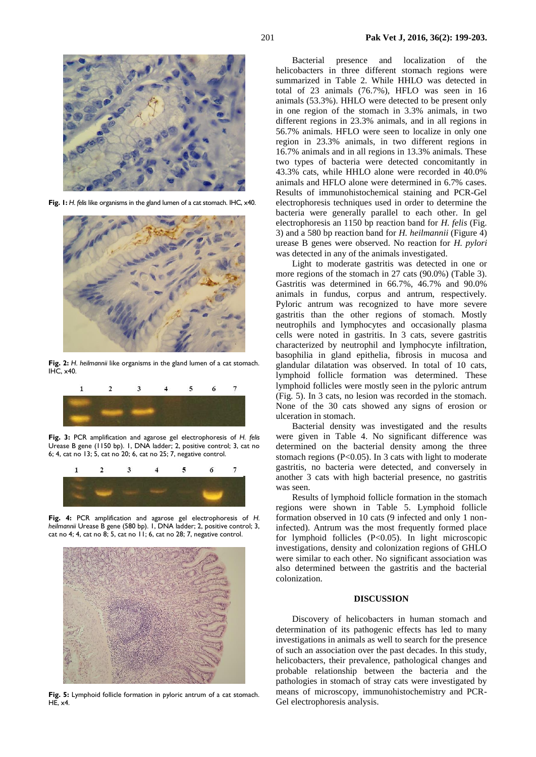

**Fig. 1:** *H. felis* like organisms in the gland lumen of a cat stomach. IHC, x40.



**Fig. 2:** *H. heilmannii* like organisms in the gland lumen of a cat stomach.  $IHC. x40$ 



**Fig. 3:** PCR amplification and agarose gel electrophoresis of *H. felis* Urease B gene (1150 bp). 1, DNA ladder; 2, positive control; 3, cat no 6; 4, cat no 13; 5, cat no 20; 6, cat no 25; 7, negative control.



**Fig. 4:** PCR amplification and agarose gel electrophoresis of *H. heilmannii* Urease B gene (580 bp). 1, DNA ladder; 2, positive control; 3, cat no 4; 4, cat no 8; 5, cat no 11; 6, cat no 28; 7, negative control.



**Fig. 5:** Lymphoid follicle formation in pyloric antrum of a cat stomach. HE, x4.

Bacterial presence and localization of the helicobacters in three different stomach regions were summarized in Table 2. While HHLO was detected in total of 23 animals (76.7%), HFLO was seen in 16 animals (53.3%). HHLO were detected to be present only in one region of the stomach in 3.3% animals, in two different regions in 23.3% animals, and in all regions in 56.7% animals. HFLO were seen to localize in only one region in 23.3% animals, in two different regions in 16.7% animals and in all regions in 13.3% animals. These two types of bacteria were detected concomitantly in 43.3% cats, while HHLO alone were recorded in 40.0% animals and HFLO alone were determined in 6.7% cases. Results of immunohistochemical staining and PCR-Gel electrophoresis techniques used in order to determine the bacteria were generally parallel to each other. In gel electrophoresis an 1150 bp reaction band for *H. felis* (Fig. 3) and a 580 bp reaction band for *H. heilmannii* (Figure 4) urease B genes were observed. No reaction for *H. pylori* was detected in any of the animals investigated.

Light to moderate gastritis was detected in one or more regions of the stomach in 27 cats (90.0%) (Table 3). Gastritis was determined in 66.7%, 46.7% and 90.0% animals in fundus, corpus and antrum, respectively. Pyloric antrum was recognized to have more severe gastritis than the other regions of stomach. Mostly neutrophils and lymphocytes and occasionally plasma cells were noted in gastritis. In 3 cats, severe gastritis characterized by neutrophil and lymphocyte infiltration, basophilia in gland epithelia, fibrosis in mucosa and glandular dilatation was observed. In total of 10 cats, lymphoid follicle formation was determined. These lymphoid follicles were mostly seen in the pyloric antrum (Fig. 5). In 3 cats, no lesion was recorded in the stomach. None of the 30 cats showed any signs of erosion or ulceration in stomach.

Bacterial density was investigated and the results were given in Table 4. No significant difference was determined on the bacterial density among the three stomach regions (P<0.05). In 3 cats with light to moderate gastritis, no bacteria were detected, and conversely in another 3 cats with high bacterial presence, no gastritis was seen.

Results of lymphoid follicle formation in the stomach regions were shown in Table 5. Lymphoid follicle formation observed in 10 cats (9 infected and only 1 noninfected). Antrum was the most frequently formed place for lymphoid follicles (P<0.05). In light microscopic investigations, density and colonization regions of GHLO were similar to each other. No significant association was also determined between the gastritis and the bacterial colonization.

## **DISCUSSION**

Discovery of helicobacters in human stomach and determination of its pathogenic effects has led to many investigations in animals as well to search for the presence of such an association over the past decades. In this study, helicobacters, their prevalence, pathological changes and probable relationship between the bacteria and the pathologies in stomach of stray cats were investigated by means of microscopy, immunohistochemistry and PCR-Gel electrophoresis analysis.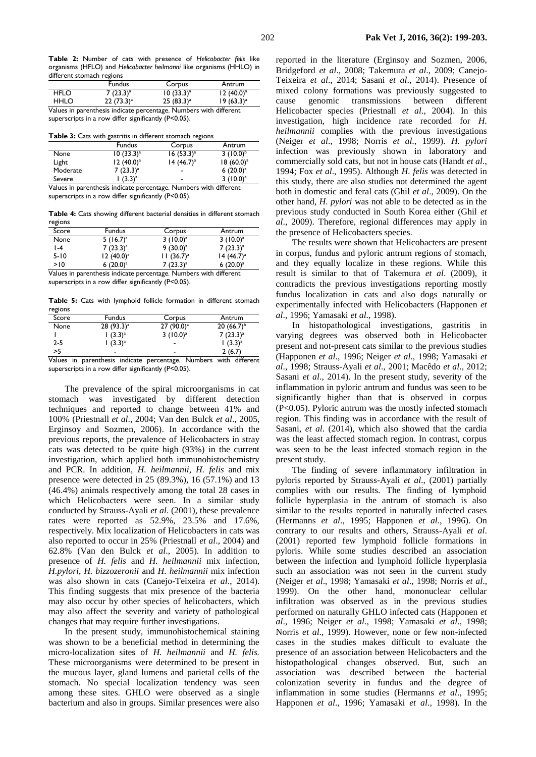|                                                                   | <b>Fundus</b> | Corpus       | Antrum       |  |
|-------------------------------------------------------------------|---------------|--------------|--------------|--|
| <b>HFLO</b>                                                       | $7(23.3)^{a}$ | $10(33.3)^a$ | $12(40.0)^a$ |  |
| <b>HHLO</b>                                                       | $22(73.3)^a$  | $25(83.3)^a$ | $19(63.3)^a$ |  |
| Values in parenthesis indicate percentage. Numbers with different |               |              |              |  |

superscripts in a row differ significantly (P<0.05).

**Table 3:** Cats with gastritis in different stomach regions

|                                                                   | <b>Fundus</b> | Corpus       | Antrum        |
|-------------------------------------------------------------------|---------------|--------------|---------------|
| None                                                              | $10(33.3)^a$  | $16(53.3)^a$ | $3(10.0)^{b}$ |
| Light                                                             | $12(40.0)^a$  | $14(46.7)^a$ | $18(60.0)^a$  |
| Moderate                                                          | $7(23.3)^{a}$ |              | 6 $(20.0)^a$  |
| Severe                                                            | $(3.3)^a$     | ۰            | $3(10.0)^a$   |
| Values in parenthesis indicate percentage. Numbers with different |               |              |               |

superscripts in a row differ significantly (P<0.05).

**Table 4:** Cats showing different bacterial densities in different stomach regions

| Score           | <b>Fundus</b>  | Corpus         | Antrum        |
|-----------------|----------------|----------------|---------------|
| None            | 5 $(16.7)^{a}$ | $3(10.0)^{a}$  | $3(10.0)^a$   |
| $\mathsf{I}$ -4 | $7(23.3)^{a}$  | $9(30.0)^a$    | $7(23.3)^{a}$ |
| $5 - 10$        | $12(40.0)^a$   | $11(36.7)^{a}$ | $14(46.7)^a$  |
| >10             | 6 $(20.0)^a$   | $7(23.3)^a$    | 6 $(20.0)^a$  |
|                 |                | $ -$           | - --          |

Values in parenthesis indicate percentage. Numbers with different superscripts in a row differ significantly (P<0.05).

**Table 5:** Cats with lymphoid follicle formation in different stomach regions

| . ב. בש |               |               |                |
|---------|---------------|---------------|----------------|
| Score   | <b>Fundus</b> | Corpus        | Antrum         |
| None    | $28(93.3)^a$  | $27(90.0)^a$  | $20(66.7)^{b}$ |
|         | $(3.3)^{a}$   | $3(10.0)^{a}$ | $7(23.3)^{a}$  |
| 2-5     | $(3.3)^{a}$   | -             | $(3.3)^a$      |
| >5      | -             | ٠             | 2(6.7)         |
|         | .             | . .<br>. .    | <br>. .        |

Values in parenthesis indicate percentage. Numbers with different superscripts in a row differ significantly (P<0.05).

The prevalence of the spiral microorganisms in cat stomach was investigated by different detection techniques and reported to change between 41% and 100% (Priestnall *et al*., 2004; Van den Bulck *et al*., 2005, Erginsoy and Sozmen, 2006). In accordance with the previous reports, the prevalence of Helicobacters in stray cats was detected to be quite high (93%) in the current investigation, which applied both immunohistochemistry and PCR. In addition, *H. heilmannii*, *H. felis* and mix presence were detected in 25 (89.3%), 16 (57.1%) and 13 (46.4%) animals respectively among the total 28 cases in which Helicobacters were seen. In a similar study conducted by Strauss-Ayali *et al*. (2001), these prevalence rates were reported as 52.9%, 23.5% and 17.6%, respectively. Mix localization of Helicobacters in cats was also reported to occur in 25% (Priestnall *et al*., 2004) and 62.8% (Van den Bulck *et al*., 2005). In addition to presence of *H. felis* and *H. heilmannii* mix infection, *H.pylori*, *H. bizzozeronii* and *H. heilmannii* mix infection was also shown in cats (Canejo-Teixeira *et al*., 2014). This finding suggests that mix presence of the bacteria may also occur by other species of helicobacters, which may also affect the severity and variety of pathological changes that may require further investigations.

In the present study, immunohistochemical staining was shown to be a beneficial method in determining the micro-localization sites of *H. heilmannii* and *H. felis.*  These microorganisms were determined to be present in the mucous layer, gland lumens and parietal cells of the stomach. No special localization tendency was seen among these sites. GHLO were observed as a single bacterium and also in groups. Similar presences were also

reported in the literature (Erginsoy and Sozmen, 2006, Bridgeford *et al*., 2008; Takemura *et al*., 2009; Canejo-Teixeira *et al*., 2014; Sasani *et al*., 2014). Presence of mixed colony formations was previously suggested to cause genomic transmissions between different Helicobacter species (Priestnall *et al*., 2004). In this investigation, high incidence rate recorded for *H. heilmannii* complies with the previous investigations (Neiger *et al*., 1998; Norris *et al*., 1999). *H. pylori*  infection was previously shown in laboratory and commercially sold cats, but not in house cats (Handt *et al*., 1994; Fox *et al*., 1995). Although *H. felis* was detected in this study, there are also studies not determined the agent both in domestic and feral cats (Ghil *et al*., 2009). On the other hand, *H. pylori* was not able to be detected as in the previous study conducted in South Korea either (Ghil *et al*., 2009). Therefore, regional differences may apply in the presence of Helicobacters species.

The results were shown that Helicobacters are present in corpus, fundus and pyloric antrum regions of stomach, and they equally localize in these regions. While this result is similar to that of Takemura *et al*. (2009), it contradicts the previous investigations reporting mostly fundus localization in cats and also dogs naturally or experimentally infected with Helicobacters (Happonen *et al*., 1996; Yamasaki *et al*., 1998).

In histopathological investigations, gastritis in varying degrees was observed both in Helicobacter present and not-present cats similar to the previous studies (Happonen *et al*., 1996; Neiger *et al*., 1998; Yamasaki *et al*., 1998; Strauss-Ayali *et al*., 2001; Macêdo *et al*., 2012; Sasani *et al*., 2014). In the present study, severity of the inflammation in pyloric antrum and fundus was seen to be significantly higher than that is observed in corpus (P<0.05). Pyloric antrum was the mostly infected stomach region. This finding was in accordance with the result of Sasani, *et al*. (2014), which also showed that the cardia was the least affected stomach region. In contrast, corpus was seen to be the least infected stomach region in the present study.

The finding of severe inflammatory infiltration in pyloris reported by Strauss-Ayali *et al*., (2001) partially complies with our results. The finding of lymphoid follicle hyperplasia in the antrum of stomach is also similar to the results reported in naturally infected cases (Hermanns *et al*., 1995; Happonen *et al*., 1996). On contrary to our results and others, Strauss-Ayali *et al*. (2001) reported few lymphoid follicle formations in pyloris. While some studies described an association between the infection and lymphoid follicle hyperplasia such an association was not seen in the current study (Neiger *et al*., 1998; Yamasaki *et al*., 1998; Norris *et al*., 1999). On the other hand, mononuclear cellular infiltration was observed as in the previous studies performed on naturally GHLO infected cats (Happonen *et al*., 1996; Neiger *et al*., 1998; Yamasaki *et al*., 1998; Norris *et al*., 1999). However, none or few non-infected cases in the studies makes difficult to evaluate the presence of an association between Helicobacters and the histopathological changes observed. But, such an association was described between the bacterial colonization severity in fundus and the degree of inflammation in some studies (Hermanns *et al*., 1995; Happonen *et al*., 1996; Yamasaki *et al*., 1998). In the